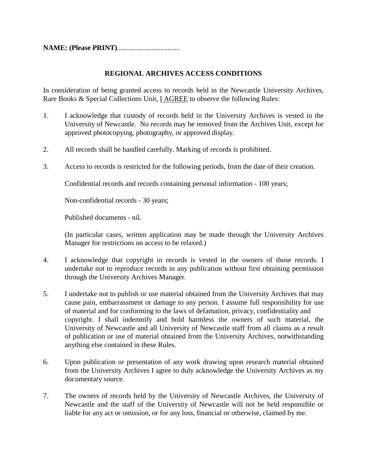**NAME: (Please PRINT)..................................** 

## **REGIONAL ARCHIVES ACCESS CONDITIONS**

In consideration of being granted access to records held in the Newcastle University Archives, Rare Books & Special Collections Unit, I AGREE to observe the following Rules:

- 1. I acknowledge that custody of records held in the University Archives is vested in the University of Newcastle. No records may be removed from the Archives Unit, except for approved photocopying, photography, or approved display.
- 2. All records shall be handled carefully. Marking of records is prohibited.
- 3. Access to records is restricted for the following periods, from the date of their creation.

Confidential records and records containing personal information - 100 years;

Non-confidential records - 30 years;

Published documents - nil.

(In particular cases, written application may be made through the University Archives Manager for restrictions on access to be relaxed.)

- 4. I acknowledge that copyright in records is vested in the owners of those records. I undertake not to reproduce records in any publication without first obtaining permission through the University Archives Manager.
- 5. I undertake not to publish or use material obtained from the University Archives that may cause pain, embarrassment or damage to any person. I assume full responsibility for use of material and for conforming to the laws of defamation, privacy, confidentiality and copyright. I shall indemnify and hold harmless the owners of such material, the University of Newcastle and all University of Newcastle staff from all claims as a result of publication or use of material obtained from the University Archives, notwithstanding anything else contained in these Rules.
- 6. Upon publication or presentation of any work drawing upon research material obtained from the University Archives I agree to duly acknowledge the University Archives as my documentary source.
- 7. The owners of records held by the University of Newcastle Archives, the University of Newcastle and the staff of the University of Newcastle will not be held responsible or liable for any act or omission, or for any loss, financial or otherwise, claimed by me.